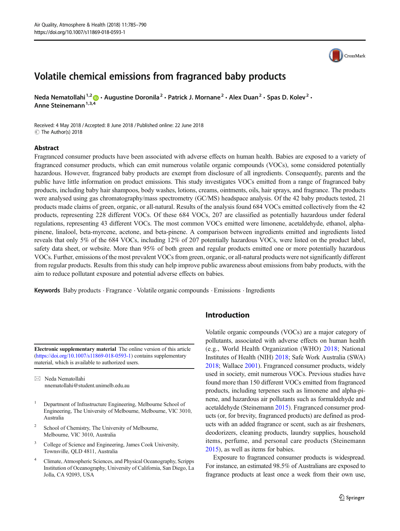# Volatile chemical emissions from fragranced baby products

Neda Nematollahi<sup>1,2</sup>  $\cdot$  Augustine Doronila<sup>2</sup> · Patrick J. Mornane<sup>2</sup> · Alex Duan<sup>2</sup> · Spas D. Kolev<sup>2</sup> · Anne Steinemann<sup>1,3,4</sup>

Received: 4 May 2018 /Accepted: 8 June 2018 /Published online: 22 June 2018  $\circledcirc$  The Author(s) 2018

#### Abstract

Fragranced consumer products have been associated with adverse effects on human health. Babies are exposed to a variety of fragranced consumer products, which can emit numerous volatile organic compounds (VOCs), some considered potentially hazardous. However, fragranced baby products are exempt from disclosure of all ingredients. Consequently, parents and the public have little information on product emissions. This study investigates VOCs emitted from a range of fragranced baby products, including baby hair shampoos, body washes, lotions, creams, ointments, oils, hair sprays, and fragrance. The products were analysed using gas chromatography/mass spectrometry (GC/MS) headspace analysis. Of the 42 baby products tested, 21 products made claims of green, organic, or all-natural. Results of the analysis found 684 VOCs emitted collectively from the 42 products, representing 228 different VOCs. Of these 684 VOCs, 207 are classified as potentially hazardous under federal regulations, representing 43 different VOCs. The most common VOCs emitted were limonene, acetaldehyde, ethanol, alphapinene, linalool, beta-myrcene, acetone, and beta-pinene. A comparison between ingredients emitted and ingredients listed reveals that only 5% of the 684 VOCs, including 12% of 207 potentially hazardous VOCs, were listed on the product label, safety data sheet, or website. More than 95% of both green and regular products emitted one or more potentially hazardous VOCs. Further, emissions of the most prevalent VOCs from green, organic, or all-natural products were not significantly different from regular products. Results from this study can help improve public awareness about emissions from baby products, with the aim to reduce pollutant exposure and potential adverse effects on babies.

Keywords Baby products . Fragrance . Volatile organic compounds . Emissions . Ingredients

Electronic supplementary material The online version of this article (<https://doi.org/10.1007/s11869-018-0593-1>) contains supplementary material, which is available to authorized users.

 $\boxtimes$  Neda Nematollahi [nnematollahi@student.unimelb.edu.au](mailto:nnematollahi@student.unimelb.edu.au)

- <sup>1</sup> Department of Infrastructure Engineering, Melbourne School of Engineering, The University of Melbourne, Melbourne, VIC 3010, Australia
- <sup>2</sup> School of Chemistry, The University of Melbourne, Melbourne, VIC 3010, Australia
- <sup>3</sup> College of Science and Engineering, James Cook University, Townsville, QLD 4811, Australia
- <sup>4</sup> Climate, Atmospheric Sciences, and Physical Oceanography, Scripps Institution of Oceanography, University of California, San Diego, La Jolla, CA 92093, USA

# Introduction

Volatile organic compounds (VOCs) are a major category of pollutants, associated with adverse effects on human health (e.g., World Health Organization (WHO) [2018;](#page-5-0) National Institutes of Health (NIH) [2018](#page-5-0); Safe Work Australia (SWA) [2018;](#page-5-0) Wallace [2001](#page-5-0)). Fragranced consumer products, widely used in society, emit numerous VOCs. Previous studies have found more than 150 different VOCs emitted from fragranced products, including terpenes such as limonene and alpha-pinene, and hazardous air pollutants such as formaldehyde and acetaldehyde (Steinemann [2015\)](#page-5-0). Fragranced consumer products (or, for brevity, fragranced products) are defined as products with an added fragrance or scent, such as air fresheners, deodorizers, cleaning products, laundry supplies, household items, perfume, and personal care products (Steinemann [2015\)](#page-5-0), as well as items for babies.

Exposure to fragranced consumer products is widespread. For instance, an estimated 98.5% of Australians are exposed to fragrance products at least once a week from their own use,

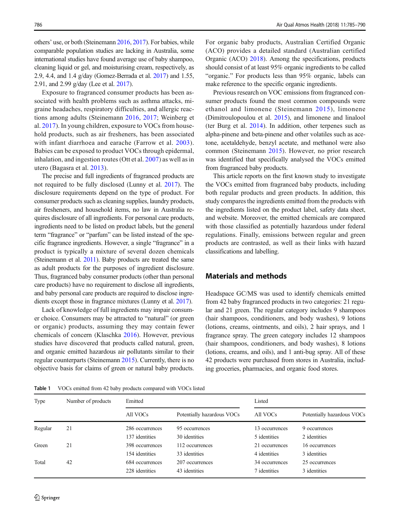<span id="page-1-0"></span>others' use, or both (Steinemann [2016,](#page-5-0) [2017](#page-5-0)). For babies, while comparable population studies are lacking in Australia, some international studies have found average use of baby shampoo, cleaning liquid or gel, and moisturising cream, respectively, as 2.9, 4.4, and 1.4 g/day (Gomez-Berrada et al. [2017](#page-5-0)) and 1.55, 2.91, and 2.99 g/day (Lee et al. [2017\)](#page-5-0).

Exposure to fragranced consumer products has been associated with health problems such as asthma attacks, migraine headaches, respiratory difficulties, and allergic reactions among adults (Steinemann [2016](#page-5-0), [2017;](#page-5-0) Weinberg et al. [2017](#page-5-0)). In young children, exposure to VOCs from household products, such as air fresheners, has been associated with infant diarrhoea and earache (Farrow et al. [2003](#page-5-0)). Babies can be exposed to product VOCs through epidermal, inhalation, and ingestion routes (Ott et al. [2007\)](#page-5-0) as well as in utero (Bagasra et al. [2013](#page-5-0)).

The precise and full ingredients of fragranced products are not required to be fully disclosed (Lunny et al. [2017\)](#page-5-0). The disclosure requirements depend on the type of product. For consumer products such as cleaning supplies, laundry products, air fresheners, and household items, no law in Australia requires disclosure of all ingredients. For personal care products, ingredients need to be listed on product labels, but the general term "fragrance" or "parfum" can be listed instead of the specific fragrance ingredients. However, a single "fragrance" in a product is typically a mixture of several dozen chemicals (Steinemann et al. [2011](#page-5-0)). Baby products are treated the same as adult products for the purposes of ingredient disclosure. Thus, fragranced baby consumer products (other than personal care products) have no requirement to disclose all ingredients, and baby personal care products are required to disclose ingredients except those in fragrance mixtures (Lunny et al. [2017\)](#page-5-0).

Lack of knowledge of full ingredients may impair consumer choice. Consumers may be attracted to "natural" (or green or organic) products, assuming they may contain fewer chemicals of concern (Klaschka [2016\)](#page-5-0). However, previous studies have discovered that products called natural, green, and organic emitted hazardous air pollutants similar to their regular counterparts (Steinemann [2015\)](#page-5-0). Currently, there is no objective basis for claims of green or natural baby products.

Table 1 VOCs emitted from 42 baby products compared with VOCs listed

For organic baby products, Australian Certified Organic (ACO) provides a detailed standard (Australian certified Organic (ACO) [2018](#page-5-0)). Among the specifications, products should consist of at least 95% organic ingredients to be called "organic." For products less than 95% organic, labels can make reference to the specific organic ingredients.

Previous research on VOC emissions from fragranced consumer products found the most common compounds were ethanol and limonene (Steinemann [2015](#page-5-0)), limonene (Dimitroulopoulou et al. [2015](#page-5-0)), and limonene and linalool (ter Burg et al. [2014\)](#page-5-0). In addition, other terpenes such as alpha-pinene and beta-pinene and other volatiles such as acetone, acetaldehyde, benzyl acetate, and methanol were also common (Steinemann [2015](#page-5-0)). However, no prior research was identified that specifically analysed the VOCs emitted from fragranced baby products.

This article reports on the first known study to investigate the VOCs emitted from fragranced baby products, including both regular products and green products. In addition, this study compares the ingredients emitted from the products with the ingredients listed on the product label, safety data sheet, and website. Moreover, the emitted chemicals are compared with those classified as potentially hazardous under federal regulations. Finally, emissions between regular and green products are contrasted, as well as their links with hazard classifications and labelling.

## Materials and methods

Headspace GC/MS was used to identify chemicals emitted from 42 baby fragranced products in two categories: 21 regular and 21 green. The regular category includes 9 shampoos (hair shampoos, conditioners, and body washes), 9 lotions (lotions, creams, ointments, and oils), 2 hair sprays, and 1 fragrance spray. The green category includes 12 shampoos (hair shampoos, conditioners, and body washes), 8 lotions (lotions, creams, and oils), and 1 anti-bug spray. All of these 42 products were purchased from stores in Australia, including groceries, pharmacies, and organic food stores.

| Type    | Number of products | Emitted         |                            | Listed         |                            |
|---------|--------------------|-----------------|----------------------------|----------------|----------------------------|
|         |                    | All VOCs        | Potentially hazardous VOCs | All VOCs       | Potentially hazardous VOCs |
| Regular | 21                 | 286 occurrences | 95 occurrences             | 13 occurrences | 9 occurrences              |
|         |                    | 137 identities  | 30 identities              | 5 identities   | 2 identities               |
| Green   | 21                 | 398 occurrences | 112 occurrences            | 21 occurrences | 16 occurrences             |
|         |                    | 154 identities  | 33 identities              | 4 identities   | 3 identities               |
| Total   | 42                 | 684 occurrences | 207 occurrences            | 34 occurrences | 25 occurrences             |
|         |                    | 228 identities  | 43 identities              | 7 identities   | 3 identities               |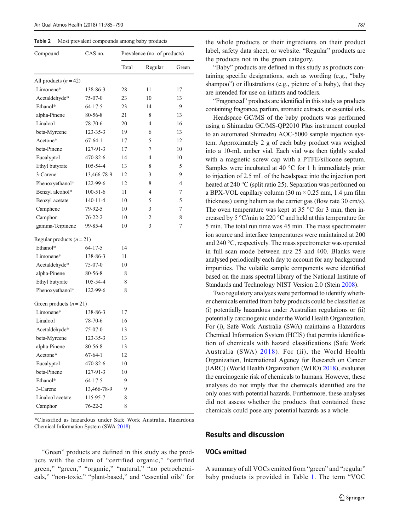<span id="page-2-0"></span>Table 2 Most prevalent compounds among baby products

| Compound                  | CAS no.        | Prevalence (no. of products) |         |       |  |
|---------------------------|----------------|------------------------------|---------|-------|--|
|                           |                | Total                        | Regular | Green |  |
| All products $(n = 42)$   |                |                              |         |       |  |
| Limonene*                 | 138-86-3       | 28                           | 11      | 17    |  |
| Acetaldehyde*             | 75-07-0        | 23                           | 10      | 13    |  |
| Ethanol*                  | $64 - 17 - 5$  | 23                           | 14      | 9     |  |
| alpha-Pinene              | 80-56-8        | 21                           | 8       | 13    |  |
| Linalool                  | 78-70-6        | 20                           | 4       | 16    |  |
| beta-Myrcene              | 123-35-3       | 19                           | 6       | 13    |  |
| Acetone*                  | $67-64-1$      | 17                           | 5       | 12    |  |
| beta-Pinene               | 127-91-3       | 17                           | 7       | 10    |  |
| Eucalyptol                | 470-82-6       | 14                           | 4       | 10    |  |
| Ethyl butyrate            | 105-54-4       | 13                           | 8       | 5     |  |
| 3-Carene                  | 13,466-78-9    | 12                           | 3       | 9     |  |
| Phenoxyethanol*           | 122-99-6       | 12                           | 8       | 4     |  |
| Benzyl alcohol*           | $100 - 51 - 6$ | 11                           | 4       | 7     |  |
| Benzyl acetate            | 140-11-4       | 10                           | 5       | 5     |  |
| Camphene                  | 79-92-5        | 10                           | 3       | 7     |  |
| Camphor                   | $76 - 22 - 2$  | 10                           | 2       | 8     |  |
| gamma-Terpinene           | 99-85-4        | 10                           | 3       | 7     |  |
| Regular products $(n=21)$ |                |                              |         |       |  |
| Ethanol*                  | 64-17-5        | 14                           |         |       |  |
| Limonene*                 | 138-86-3       | 11                           |         |       |  |
| Acetaldehyde*             | 75-07-0        | 10                           |         |       |  |
| alpha-Pinene              | 80-56-8        | 8                            |         |       |  |
| Ethyl butyrate            | 105-54-4       | 8                            |         |       |  |
| Phenoxyethanol*           | 122-99-6       | 8                            |         |       |  |
| Green products $(n=21)$   |                |                              |         |       |  |
| Limonene*                 | 138-86-3       | 17                           |         |       |  |
| Linalool                  | 78-70-6        | 16                           |         |       |  |
| Acetaldehyde*             | 75-07-0        | 13                           |         |       |  |
| beta-Myrcene              | 123-35-3       | 13                           |         |       |  |
| alpha-Pinene              | 80-56-8        | 13                           |         |       |  |
| Acetone*                  | $67-64-1$      | 12                           |         |       |  |
| Eucalyptol                | 470-82-6       | 10                           |         |       |  |
| beta-Pinene               | 127-91-3       | 10                           |         |       |  |
| Ethanol*                  | $64 - 17 - 5$  | 9                            |         |       |  |
| 3-Carene                  | 13,466-78-9    | 9                            |         |       |  |
| Linalool acetate          | 115-95-7       | 8                            |         |       |  |
| Camphor                   | $76 - 22 - 2$  | 8                            |         |       |  |

\*Classified as hazardous under Safe Work Australia, Hazardous Chemical Information System (SWA [2018](#page-5-0))

"Green" products are defined in this study as the products with the claim of "certified organic," "certified green," "green," "organic," "natural," "no petrochemicals," "non-toxic," "plant-based," and "essential oils" for

the whole products or their ingredients on their product label, safety data sheet, or website. "Regular" products are the products not in the green category.

"Baby" products are defined in this study as products containing specific designations, such as wording (e.g., "baby shampoo") or illustrations (e.g., picture of a baby), that they are intended for use on infants and toddlers.

"Fragranced" products are identified in this study as products containing fragrance, parfum, aromatic extracts, or essential oils.

Headspace GC/MS of the baby products was performed using a Shimadzu GC/MS-QP2010 Plus instrument coupled to an automated Shimadzu AOC-5000 sample injection system. Approximately 2 g of each baby product was weighed into a 10-mL amber vial. Each vial was then tightly sealed with a magnetic screw cap with a PTFE/silicone septum. Samples were incubated at 40 °C for 1 h immediately prior to injection of 2.5 mL of the headspace into the injection port heated at 240 °C (split ratio 25). Separation was performed on a BPX-VOL capillary column (30 m × 0.25 mm, 1.4 μm film thickness) using helium as the carrier gas (flow rate 30 cm/s). The oven temperature was kept at  $35^{\circ}$ C for 3 min, then increased by 5 °C/min to 220 °C and held at this temperature for 5 min. The total run time was 45 min. The mass spectrometer ion source and interface temperatures were maintained at 200 and 240 °C, respectively. The mass spectrometer was operated in full scan mode between m/z 25 and 400. Blanks were analysed periodically each day to account for any background impurities. The volatile sample components were identified based on the mass spectral library of the National Institute of Standards and Technology NIST Version 2.0 (Stein [2008\)](#page-5-0).

Two regulatory analyses were performed to identify whether chemicals emitted from baby products could be classified as (i) potentially hazardous under Australian regulations or (ii) potentially carcinogenic under the World Health Organization. For (i), Safe Work Australia (SWA) maintains a Hazardous Chemical Information System (HCIS) that permits identification of chemicals with hazard classifications (Safe Work Australia (SWA) [2018](#page-5-0)). For (ii), the World Health Organization, International Agency for Research on Cancer (IARC) (World Health Organization (WHO) [2018](#page-5-0)), evaluates the carcinogenic risk of chemicals to humans. However, these analyses do not imply that the chemicals identified are the only ones with potential hazards. Furthermore, these analyses did not assess whether the products that contained these chemicals could pose any potential hazards as a whole.

## Results and discussion

## VOCs emitted

A summary of all VOCs emitted from "green" and "regular" baby products is provided in Table [1](#page-1-0). The term "VOC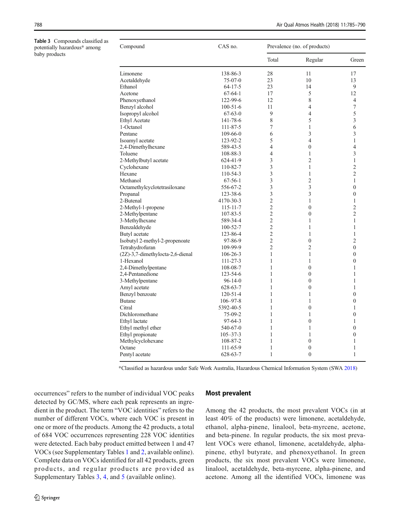<span id="page-3-0"></span>Table 3 Compounds classified as potentially hazardous\* among baby products

| Compound                         | CAS no.        |                | Prevalence (no. of products) |                  |  |
|----------------------------------|----------------|----------------|------------------------------|------------------|--|
|                                  |                | Total          | Regular                      | Green            |  |
| Limonene                         | 138-86-3       | 28             | 11                           | 17               |  |
| Acetaldehyde                     | $75-07-0$      | 23             | 10                           | 13               |  |
| Ethanol                          | $64 - 17 - 5$  | 23             | 14                           | 9                |  |
| Acetone                          | $67-64-1$      | 17             | 5                            | 12               |  |
| Phenoxyethanol                   | 122-99-6       | 12             | 8                            | 4                |  |
| Benzyl alcohol                   | $100 - 51 - 6$ | 11             | $\overline{4}$               | 7                |  |
| Isopropyl alcohol                | $67-63-0$      | 9              | $\overline{4}$               | 5                |  |
| <b>Ethyl Acetate</b>             | 141-78-6       | 8              | 5                            | 3                |  |
| 1-Octanol                        | 111-87-5       | 7              | 1                            | 6                |  |
| Pentane                          | $109-66-0$     | 6              | 3                            | 3                |  |
| Isoamyl acetate                  | 123-92-2       | 5              | $\overline{4}$               | 1                |  |
| 2,4-Dimethylhexane               | 589-43-5       | 4              | $\boldsymbol{0}$             | 4                |  |
| Toluene                          | 108-88-3       | $\overline{4}$ | 1                            | 3                |  |
| 2-Methylbutyl acetate            | 624-41-9       | 3              | $\overline{2}$               | $\mathbf{1}$     |  |
| Cyclohexane                      | 110-82-7       | 3              | $\mathbf{1}$                 | $\overline{c}$   |  |
| Hexane                           | 110-54-3       | 3              | 1                            | $\overline{c}$   |  |
| Methanol                         | $67 - 56 - 1$  | 3              | $\overline{c}$               | 1                |  |
| Octamethylcyclotetrasiloxane     | 556-67-2       | 3              | 3                            | $\mathbf{0}$     |  |
| Propanal                         | 123-38-6       | 3              | 3                            | $\mathbf{0}$     |  |
| 2-Butenal                        | 4170-30-3      | $\overline{2}$ | 1                            | 1                |  |
| 2-Methyl-1-propene               | $115 - 11 - 7$ | $\overline{2}$ | $\boldsymbol{0}$             | $\overline{c}$   |  |
| 2-Methylpentane                  | 107-83-5       | $\overline{2}$ | $\mathbf{0}$                 | $\overline{2}$   |  |
| 3-Methylhexane                   | 589-34-4       | $\overline{2}$ | 1                            | 1                |  |
| Benzaldehyde                     | $100 - 52 - 7$ | $\overline{2}$ | 1                            | 1                |  |
| Butyl acetate                    | 123-86-4       | $\overline{2}$ | 1                            | $\mathbf{1}$     |  |
| Isobutyl 2-methyl-2-propenoate   | 97-86-9        | $\overline{2}$ | $\overline{0}$               | $\overline{2}$   |  |
| Tetrahydrofuran                  | 109-99-9       | $\overline{2}$ | $\overline{2}$               | $\overline{0}$   |  |
| (2Z)-3,7-dimethylocta-2,6-dienal | $106 - 26 - 3$ | 1              | 1                            | $\boldsymbol{0}$ |  |
| 1-Hexanol                        | $111 - 27 - 3$ | 1              | 1                            | $\mathbf{0}$     |  |
| 2,4-Dimethylpentane              | 108-08-7       | 1              | $\overline{0}$               | 1                |  |
| 2,4-Pentanedione                 | 123-54-6       | 1              | $\mathbf{0}$                 | 1                |  |
| 3-Methylpentane                  | $96 - 14 - 0$  | 1              | $\mathbf{0}$                 | 1                |  |
| Amyl acetate                     | 628-63-7       | 1              | $\boldsymbol{0}$             | 1                |  |
| Benzyl benzoate                  | $120 - 51 - 4$ | 1              | 1                            | $\mathbf{0}$     |  |
| Butane                           | $106 - 97 - 8$ | 1              | 1                            | $\mathbf{0}$     |  |
| Citral                           | 5392-40-5      | 1              | $\overline{0}$               | 1                |  |
| Dichloromethane                  | 75-09-2        | 1              | 1                            | 0                |  |
| Ethyl lactate                    | $97-64-3$      | 1              | $\overline{0}$               | 1                |  |
| Ethyl methyl ether               | 540-67-0       | 1              | 1                            | $\mathbf{0}$     |  |
| Ethyl propionate                 | $105 - 37 - 3$ | 1              | 1                            | $\mathbf{0}$     |  |
| Methylcyclohexane                | 108-87-2       | 1              | $\boldsymbol{0}$             | 1                |  |
| Octane                           | 111-65-9       | 1              | $\mathbf{0}$                 | 1                |  |
| Pentyl acetate                   | 628-63-7       | 1              | $\mathbf{0}$                 | 1                |  |

\*Classified as hazardous under Safe Work Australia, Hazardous Chemical Information System (SWA [2018](#page-5-0))

occurrences" refers to the number of individual VOC peaks detected by GC/MS, where each peak represents an ingredient in the product. The term "VOC identities" refers to the number of different VOCs, where each VOC is present in one or more of the products. Among the 42 products, a total of 684 VOC occurrences representing 228 VOC identities were detected. Each baby product emitted between 1 and 47 VOCs (see Supplementary Tables 1 and 2, available online). Complete data on VOCs identified for all 42 products, green products, and regular products are provided as Supplementary Tables 3, 4, and 5 (available online).

#### Most prevalent

Among the 42 products, the most prevalent VOCs (in at least 40% of the products) were limonene, acetaldehyde, ethanol, alpha-pinene, linalool, beta-myrcene, acetone, and beta-pinene. In regular products, the six most prevalent VOCs were ethanol, limonene, acetaldehyde, alphapinene, ethyl butyrate, and phenoxyethanol. In green products, the six most prevalent VOCs were limonene, linalool, acetaldehyde, beta-myrcene, alpha-pinene, and acetone. Among all the identified VOCs, limonene was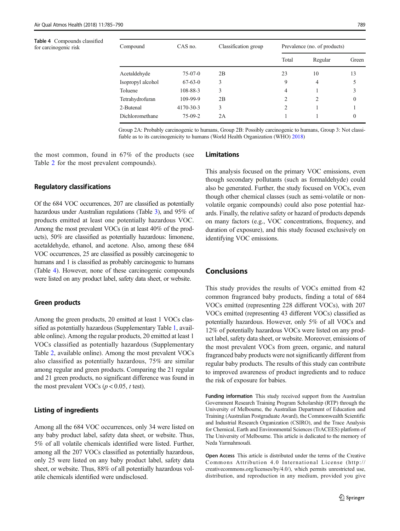#### Table 4 Compounds classified for carcinogenic risk

| Compound          | CAS no.   | Classification group |       | Prevalence (no. of products) |          |  |
|-------------------|-----------|----------------------|-------|------------------------------|----------|--|
|                   |           |                      | Total | Regular                      | Green    |  |
| Acetaldehyde      | $75-07-0$ | 2B                   | 23    | 10                           | 13       |  |
| Isopropyl alcohol | $67-63-0$ | 3                    | 9     | 4                            |          |  |
| Toluene           | 108-88-3  | 3                    | 4     |                              | 3        |  |
| Tetrahydrofuran   | 109-99-9  | 2B                   | 2     | 2                            | 0        |  |
| 2-Butenal         | 4170-30-3 | 3                    | 2     |                              |          |  |
| Dichloromethane   | $75-09-2$ | 2A                   |       |                              | $\theta$ |  |

Group 2A: Probably carcinogenic to humans, Group 2B: Possibly carcinogenic to humans, Group 3: Not classifiable as to its carcinogenicity to humans (World Health Organization (WHO) [2018\)](#page-5-0)

the most common, found in 67% of the products (see Table [2](#page-2-0) for the most prevalent compounds).

### Regulatory classifications

Of the 684 VOC occurrences, 207 are classified as potentially hazardous under Australian regulations (Table [3\)](#page-3-0), and 95% of products emitted at least one potentially hazardous VOC. Among the most prevalent VOCs (in at least 40% of the products), 50% are classified as potentially hazardous: limonene, acetaldehyde, ethanol, and acetone. Also, among these 684 VOC occurrences, 25 are classified as possibly carcinogenic to humans and 1 is classified as probably carcinogenic to humans (Table 4). However, none of these carcinogenic compounds were listed on any product label, safety data sheet, or website.

#### Green products

Among the green products, 20 emitted at least 1 VOCs classified as potentially hazardous (Supplementary Table 1, available online). Among the regular products, 20 emitted at least 1 VOCs classified as potentially hazardous (Supplementary Table 2, available online). Among the most prevalent VOCs also classified as potentially hazardous, 75% are similar among regular and green products. Comparing the 21 regular and 21 green products, no significant difference was found in the most prevalent VOCs ( $p < 0.05$ , t test).

#### Listing of ingredients

Among all the 684 VOC occurrences, only 34 were listed on any baby product label, safety data sheet, or website. Thus, 5% of all volatile chemicals identified were listed. Further, among all the 207 VOCs classified as potentially hazardous, only 25 were listed on any baby product label, safety data sheet, or website. Thus, 88% of all potentially hazardous volatile chemicals identified were undisclosed.

# Limitations

This analysis focused on the primary VOC emissions, even though secondary pollutants (such as formaldehyde) could also be generated. Further, the study focused on VOCs, even though other chemical classes (such as semi-volatile or nonvolatile organic compounds) could also pose potential hazards. Finally, the relative safety or hazard of products depends on many factors (e.g., VOC concentrations, frequency, and duration of exposure), and this study focused exclusively on identifying VOC emissions.

# Conclusions

This study provides the results of VOCs emitted from 42 common fragranced baby products, finding a total of 684 VOCs emitted (representing 228 different VOCs), with 207 VOCs emitted (representing 43 different VOCs) classified as potentially hazardous. However, only 5% of all VOCs and 12% of potentially hazardous VOCs were listed on any product label, safety data sheet, or website. Moreover, emissions of the most prevalent VOCs from green, organic, and natural fragranced baby products were not significantly different from regular baby products. The results of this study can contribute to improved awareness of product ingredients and to reduce the risk of exposure for babies.

Funding information This study received support from the Australian Government Research Training Program Scholarship (RTP) through the University of Melbourne, the Australian Department of Education and Training (Australian Postgraduate Award), the Commonwealth Scientific and Industrial Research Organization (CSIRO), and the Trace Analysis for Chemical, Earth and Environmental Sciences (TrACEES) platform of The University of Melbourne. This article is dedicated to the memory of Neda Yarmahmoudi.

Open Access This article is distributed under the terms of the Creative Commons Attribution 4.0 International License (http:// creativecommons.org/licenses/by/4.0/), which permits unrestricted use, distribution, and reproduction in any medium, provided you give